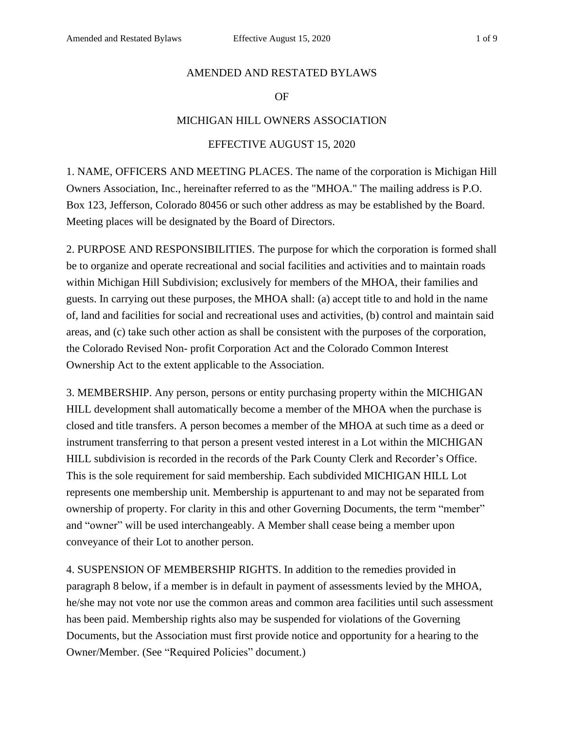#### AMENDED AND RESTATED BYLAWS

### OF

### MICHIGAN HILL OWNERS ASSOCIATION

### EFFECTIVE AUGUST 15, 2020

1. NAME, OFFICERS AND MEETING PLACES. The name of the corporation is Michigan Hill Owners Association, Inc., hereinafter referred to as the "MHOA." The mailing address is P.O. Box 123, Jefferson, Colorado 80456 or such other address as may be established by the Board. Meeting places will be designated by the Board of Directors.

2. PURPOSE AND RESPONSIBILITIES. The purpose for which the corporation is formed shall be to organize and operate recreational and social facilities and activities and to maintain roads within Michigan Hill Subdivision; exclusively for members of the MHOA, their families and guests. In carrying out these purposes, the MHOA shall: (a) accept title to and hold in the name of, land and facilities for social and recreational uses and activities, (b) control and maintain said areas, and (c) take such other action as shall be consistent with the purposes of the corporation, the Colorado Revised Non- profit Corporation Act and the Colorado Common Interest Ownership Act to the extent applicable to the Association.

3. MEMBERSHIP. Any person, persons or entity purchasing property within the MICHIGAN HILL development shall automatically become a member of the MHOA when the purchase is closed and title transfers. A person becomes a member of the MHOA at such time as a deed or instrument transferring to that person a present vested interest in a Lot within the MICHIGAN HILL subdivision is recorded in the records of the Park County Clerk and Recorder's Office. This is the sole requirement for said membership. Each subdivided MICHIGAN HILL Lot represents one membership unit. Membership is appurtenant to and may not be separated from ownership of property. For clarity in this and other Governing Documents, the term "member" and "owner" will be used interchangeably. A Member shall cease being a member upon conveyance of their Lot to another person.

4. SUSPENSION OF MEMBERSHIP RIGHTS. In addition to the remedies provided in paragraph 8 below, if a member is in default in payment of assessments levied by the MHOA, he/she may not vote nor use the common areas and common area facilities until such assessment has been paid. Membership rights also may be suspended for violations of the Governing Documents, but the Association must first provide notice and opportunity for a hearing to the Owner/Member. (See "Required Policies" document.)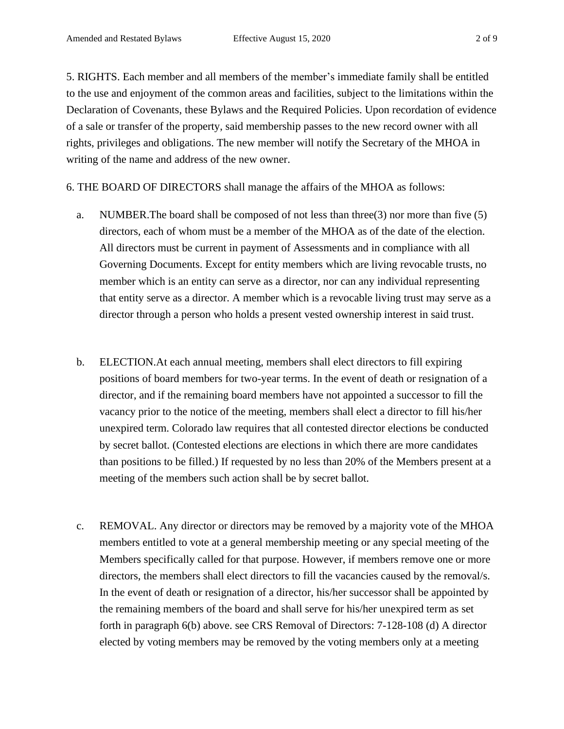5. RIGHTS. Each member and all members of the member's immediate family shall be entitled to the use and enjoyment of the common areas and facilities, subject to the limitations within the Declaration of Covenants, these Bylaws and the Required Policies. Upon recordation of evidence of a sale or transfer of the property, said membership passes to the new record owner with all rights, privileges and obligations. The new member will notify the Secretary of the MHOA in writing of the name and address of the new owner.

6. THE BOARD OF DIRECTORS shall manage the affairs of the MHOA as follows:

- a. NUMBER.The board shall be composed of not less than three(3) nor more than five (5) directors, each of whom must be a member of the MHOA as of the date of the election. All directors must be current in payment of Assessments and in compliance with all Governing Documents. Except for entity members which are living revocable trusts, no member which is an entity can serve as a director, nor can any individual representing that entity serve as a director. A member which is a revocable living trust may serve as a director through a person who holds a present vested ownership interest in said trust.
- b. ELECTION.At each annual meeting, members shall elect directors to fill expiring positions of board members for two-year terms. In the event of death or resignation of a director, and if the remaining board members have not appointed a successor to fill the vacancy prior to the notice of the meeting, members shall elect a director to fill his/her unexpired term. Colorado law requires that all contested director elections be conducted by secret ballot. (Contested elections are elections in which there are more candidates than positions to be filled.) If requested by no less than 20% of the Members present at a meeting of the members such action shall be by secret ballot.
- c. REMOVAL. Any director or directors may be removed by a majority vote of the MHOA members entitled to vote at a general membership meeting or any special meeting of the Members specifically called for that purpose. However, if members remove one or more directors, the members shall elect directors to fill the vacancies caused by the removal/s. In the event of death or resignation of a director, his/her successor shall be appointed by the remaining members of the board and shall serve for his/her unexpired term as set forth in paragraph 6(b) above. see CRS Removal of Directors: 7-128-108 (d) A director elected by voting members may be removed by the voting members only at a meeting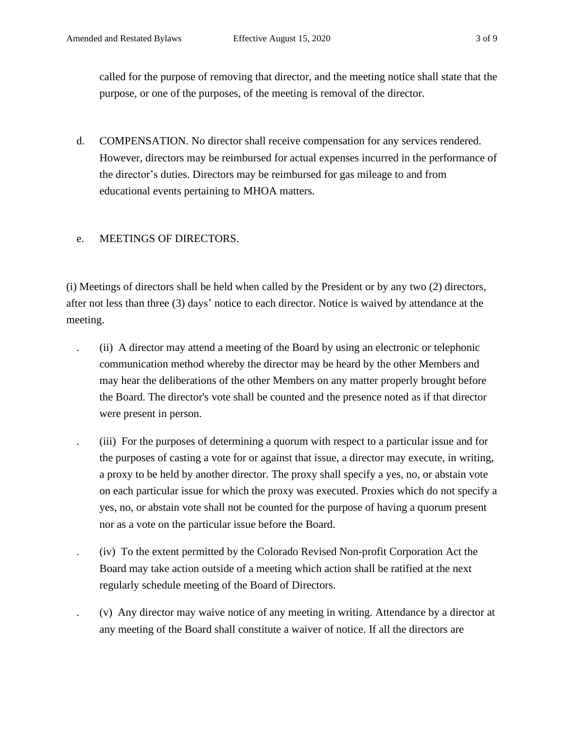called for the purpose of removing that director, and the meeting notice shall state that the purpose, or one of the purposes, of the meeting is removal of the director.

d. COMPENSATION. No director shall receive compensation for any services rendered. However, directors may be reimbursed for actual expenses incurred in the performance of the director's duties. Directors may be reimbursed for gas mileage to and from educational events pertaining to MHOA matters.

## e. MEETINGS OF DIRECTORS.

(i) Meetings of directors shall be held when called by the President or by any two (2) directors, after not less than three (3) days' notice to each director. Notice is waived by attendance at the meeting.

- . (ii) A director may attend a meeting of the Board by using an electronic or telephonic communication method whereby the director may be heard by the other Members and may hear the deliberations of the other Members on any matter properly brought before the Board. The director's vote shall be counted and the presence noted as if that director were present in person.
	- . (iii) For the purposes of determining a quorum with respect to a particular issue and for the purposes of casting a vote for or against that issue, a director may execute, in writing, a proxy to be held by another director. The proxy shall specify a yes, no, or abstain vote on each particular issue for which the proxy was executed. Proxies which do not specify a yes, no, or abstain vote shall not be counted for the purpose of having a quorum present nor as a vote on the particular issue before the Board.
	- . (iv) To the extent permitted by the Colorado Revised Non-profit Corporation Act the Board may take action outside of a meeting which action shall be ratified at the next regularly schedule meeting of the Board of Directors.
	- . (v) Any director may waive notice of any meeting in writing. Attendance by a director at any meeting of the Board shall constitute a waiver of notice. If all the directors are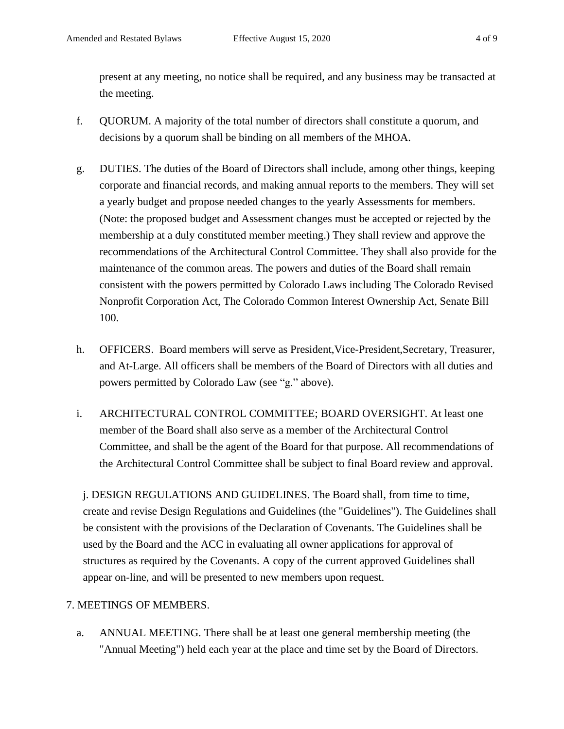present at any meeting, no notice shall be required, and any business may be transacted at the meeting.

- f. QUORUM. A majority of the total number of directors shall constitute a quorum, and decisions by a quorum shall be binding on all members of the MHOA.
- g. DUTIES. The duties of the Board of Directors shall include, among other things, keeping corporate and financial records, and making annual reports to the members. They will set a yearly budget and propose needed changes to the yearly Assessments for members. (Note: the proposed budget and Assessment changes must be accepted or rejected by the membership at a duly constituted member meeting.) They shall review and approve the recommendations of the Architectural Control Committee. They shall also provide for the maintenance of the common areas. The powers and duties of the Board shall remain consistent with the powers permitted by Colorado Laws including The Colorado Revised Nonprofit Corporation Act, The Colorado Common Interest Ownership Act, Senate Bill 100.
- h. OFFICERS. Board members will serve as President, Vice-President, Secretary, Treasurer, and At-Large. All officers shall be members of the Board of Directors with all duties and powers permitted by Colorado Law (see "g." above).
- i. ARCHITECTURAL CONTROL COMMITTEE; BOARD OVERSIGHT. At least one member of the Board shall also serve as a member of the Architectural Control Committee, and shall be the agent of the Board for that purpose. All recommendations of the Architectural Control Committee shall be subject to final Board review and approval.

j. DESIGN REGULATIONS AND GUIDELINES. The Board shall, from time to time, create and revise Design Regulations and Guidelines (the "Guidelines"). The Guidelines shall be consistent with the provisions of the Declaration of Covenants. The Guidelines shall be used by the Board and the ACC in evaluating all owner applications for approval of structures as required by the Covenants. A copy of the current approved Guidelines shall appear on-line, and will be presented to new members upon request.

# 7. MEETINGS OF MEMBERS.

a. ANNUAL MEETING. There shall be at least one general membership meeting (the "Annual Meeting") held each year at the place and time set by the Board of Directors.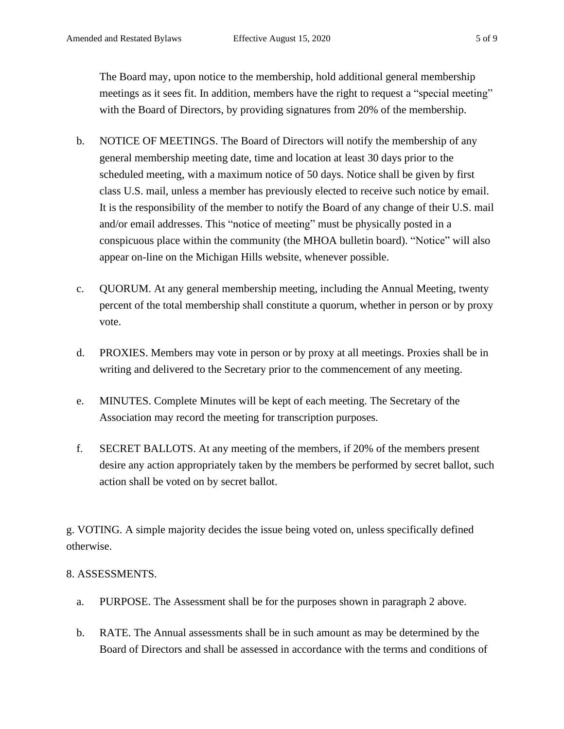The Board may, upon notice to the membership, hold additional general membership meetings as it sees fit. In addition, members have the right to request a "special meeting" with the Board of Directors, by providing signatures from 20% of the membership.

- b. NOTICE OF MEETINGS. The Board of Directors will notify the membership of any general membership meeting date, time and location at least 30 days prior to the scheduled meeting, with a maximum notice of 50 days. Notice shall be given by first class U.S. mail, unless a member has previously elected to receive such notice by email. It is the responsibility of the member to notify the Board of any change of their U.S. mail and/or email addresses. This "notice of meeting" must be physically posted in a conspicuous place within the community (the MHOA bulletin board). "Notice" will also appear on-line on the Michigan Hills website, whenever possible.
- c. QUORUM. At any general membership meeting, including the Annual Meeting, twenty percent of the total membership shall constitute a quorum, whether in person or by proxy vote.
- d. PROXIES. Members may vote in person or by proxy at all meetings. Proxies shall be in writing and delivered to the Secretary prior to the commencement of any meeting.
- e. MINUTES. Complete Minutes will be kept of each meeting. The Secretary of the Association may record the meeting for transcription purposes.
- f. SECRET BALLOTS. At any meeting of the members, if 20% of the members present desire any action appropriately taken by the members be performed by secret ballot, such action shall be voted on by secret ballot.

g. VOTING. A simple majority decides the issue being voted on, unless specifically defined otherwise.

# 8. ASSESSMENTS.

- a. PURPOSE. The Assessment shall be for the purposes shown in paragraph 2 above.
- b. RATE. The Annual assessments shall be in such amount as may be determined by the Board of Directors and shall be assessed in accordance with the terms and conditions of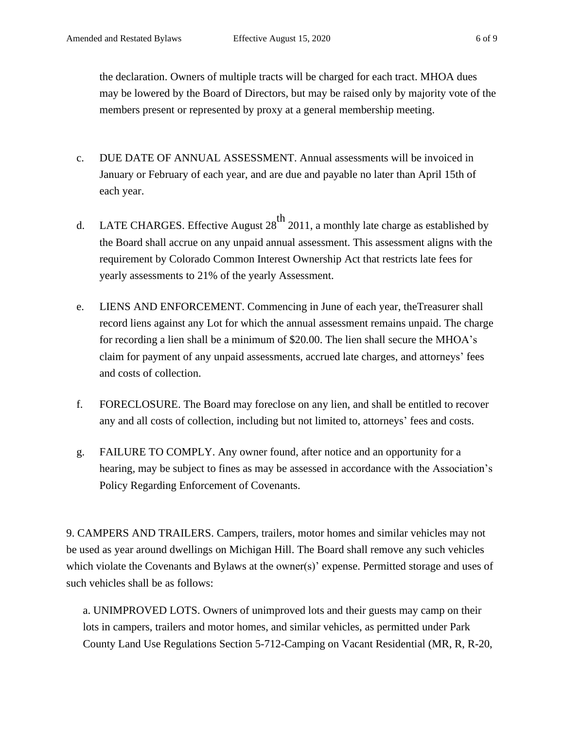the declaration. Owners of multiple tracts will be charged for each tract. MHOA dues may be lowered by the Board of Directors, but may be raised only by majority vote of the members present or represented by proxy at a general membership meeting.

- c. DUE DATE OF ANNUAL ASSESSMENT. Annual assessments will be invoiced in January or February of each year, and are due and payable no later than April 15th of each year.
- d. LATE CHARGES. Effective August  $28^{th}$  2011, a monthly late charge as established by the Board shall accrue on any unpaid annual assessment. This assessment aligns with the requirement by Colorado Common Interest Ownership Act that restricts late fees for yearly assessments to 21% of the yearly Assessment.
- e. LIENS AND ENFORCEMENT. Commencing in June of each year, theTreasurer shall record liens against any Lot for which the annual assessment remains unpaid. The charge for recording a lien shall be a minimum of \$20.00. The lien shall secure the MHOA's claim for payment of any unpaid assessments, accrued late charges, and attorneys' fees and costs of collection.
- f. FORECLOSURE. The Board may foreclose on any lien, and shall be entitled to recover any and all costs of collection, including but not limited to, attorneys' fees and costs.
- g. FAILURE TO COMPLY. Any owner found, after notice and an opportunity for a hearing, may be subject to fines as may be assessed in accordance with the Association's Policy Regarding Enforcement of Covenants.

9. CAMPERS AND TRAILERS. Campers, trailers, motor homes and similar vehicles may not be used as year around dwellings on Michigan Hill. The Board shall remove any such vehicles which violate the Covenants and Bylaws at the owner(s)' expense. Permitted storage and uses of such vehicles shall be as follows:

a. UNIMPROVED LOTS. Owners of unimproved lots and their guests may camp on their lots in campers, trailers and motor homes, and similar vehicles, as permitted under Park County Land Use Regulations Section 5-712-Camping on Vacant Residential (MR, R, R-20,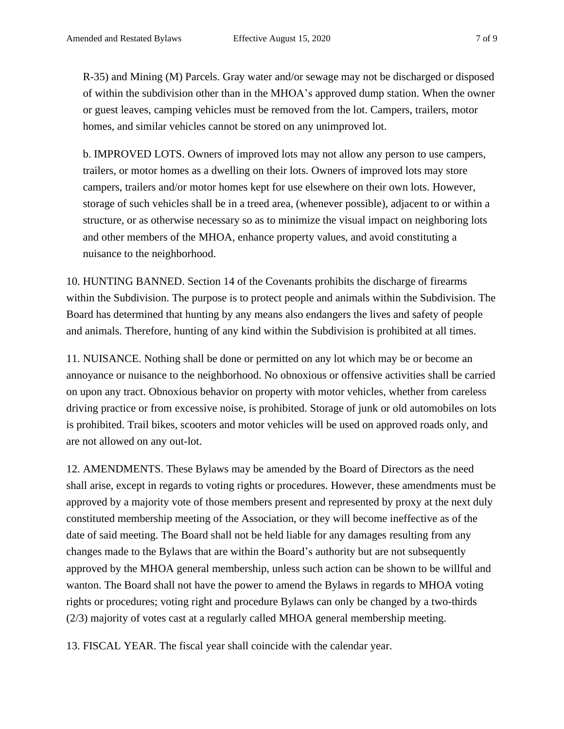R-35) and Mining (M) Parcels. Gray water and/or sewage may not be discharged or disposed of within the subdivision other than in the MHOA's approved dump station. When the owner or guest leaves, camping vehicles must be removed from the lot. Campers, trailers, motor homes, and similar vehicles cannot be stored on any unimproved lot.

b. IMPROVED LOTS. Owners of improved lots may not allow any person to use campers, trailers, or motor homes as a dwelling on their lots. Owners of improved lots may store campers, trailers and/or motor homes kept for use elsewhere on their own lots. However, storage of such vehicles shall be in a treed area, (whenever possible), adjacent to or within a structure, or as otherwise necessary so as to minimize the visual impact on neighboring lots and other members of the MHOA, enhance property values, and avoid constituting a nuisance to the neighborhood.

10. HUNTING BANNED. Section 14 of the Covenants prohibits the discharge of firearms within the Subdivision. The purpose is to protect people and animals within the Subdivision. The Board has determined that hunting by any means also endangers the lives and safety of people and animals. Therefore, hunting of any kind within the Subdivision is prohibited at all times.

11. NUISANCE. Nothing shall be done or permitted on any lot which may be or become an annoyance or nuisance to the neighborhood. No obnoxious or offensive activities shall be carried on upon any tract. Obnoxious behavior on property with motor vehicles, whether from careless driving practice or from excessive noise, is prohibited. Storage of junk or old automobiles on lots is prohibited. Trail bikes, scooters and motor vehicles will be used on approved roads only, and are not allowed on any out-lot.

12. AMENDMENTS. These Bylaws may be amended by the Board of Directors as the need shall arise, except in regards to voting rights or procedures. However, these amendments must be approved by a majority vote of those members present and represented by proxy at the next duly constituted membership meeting of the Association, or they will become ineffective as of the date of said meeting. The Board shall not be held liable for any damages resulting from any changes made to the Bylaws that are within the Board's authority but are not subsequently approved by the MHOA general membership, unless such action can be shown to be willful and wanton. The Board shall not have the power to amend the Bylaws in regards to MHOA voting rights or procedures; voting right and procedure Bylaws can only be changed by a two-thirds (2/3) majority of votes cast at a regularly called MHOA general membership meeting.

13. FISCAL YEAR. The fiscal year shall coincide with the calendar year.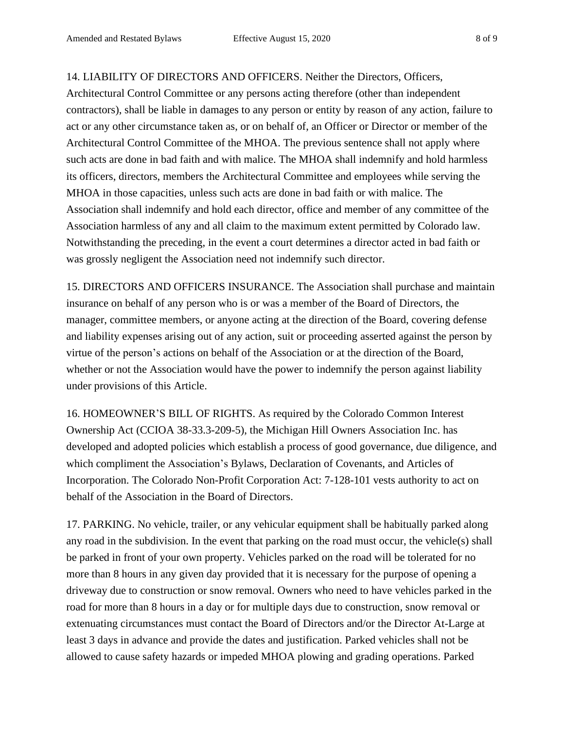14. LIABILITY OF DIRECTORS AND OFFICERS. Neither the Directors, Officers,

Architectural Control Committee or any persons acting therefore (other than independent contractors), shall be liable in damages to any person or entity by reason of any action, failure to act or any other circumstance taken as, or on behalf of, an Officer or Director or member of the Architectural Control Committee of the MHOA. The previous sentence shall not apply where such acts are done in bad faith and with malice. The MHOA shall indemnify and hold harmless its officers, directors, members the Architectural Committee and employees while serving the MHOA in those capacities, unless such acts are done in bad faith or with malice. The Association shall indemnify and hold each director, office and member of any committee of the Association harmless of any and all claim to the maximum extent permitted by Colorado law. Notwithstanding the preceding, in the event a court determines a director acted in bad faith or was grossly negligent the Association need not indemnify such director.

15. DIRECTORS AND OFFICERS INSURANCE. The Association shall purchase and maintain insurance on behalf of any person who is or was a member of the Board of Directors, the manager, committee members, or anyone acting at the direction of the Board, covering defense and liability expenses arising out of any action, suit or proceeding asserted against the person by virtue of the person's actions on behalf of the Association or at the direction of the Board, whether or not the Association would have the power to indemnify the person against liability under provisions of this Article.

16. HOMEOWNER'S BILL OF RIGHTS. As required by the Colorado Common Interest Ownership Act (CCIOA 38-33.3-209-5), the Michigan Hill Owners Association Inc. has developed and adopted policies which establish a process of good governance, due diligence, and which compliment the Association's Bylaws, Declaration of Covenants, and Articles of Incorporation. The Colorado Non-Profit Corporation Act: 7-128-101 vests authority to act on behalf of the Association in the Board of Directors.

17. PARKING. No vehicle, trailer, or any vehicular equipment shall be habitually parked along any road in the subdivision. In the event that parking on the road must occur, the vehicle(s) shall be parked in front of your own property. Vehicles parked on the road will be tolerated for no more than 8 hours in any given day provided that it is necessary for the purpose of opening a driveway due to construction or snow removal. Owners who need to have vehicles parked in the road for more than 8 hours in a day or for multiple days due to construction, snow removal or extenuating circumstances must contact the Board of Directors and/or the Director At-Large at least 3 days in advance and provide the dates and justification. Parked vehicles shall not be allowed to cause safety hazards or impeded MHOA plowing and grading operations. Parked